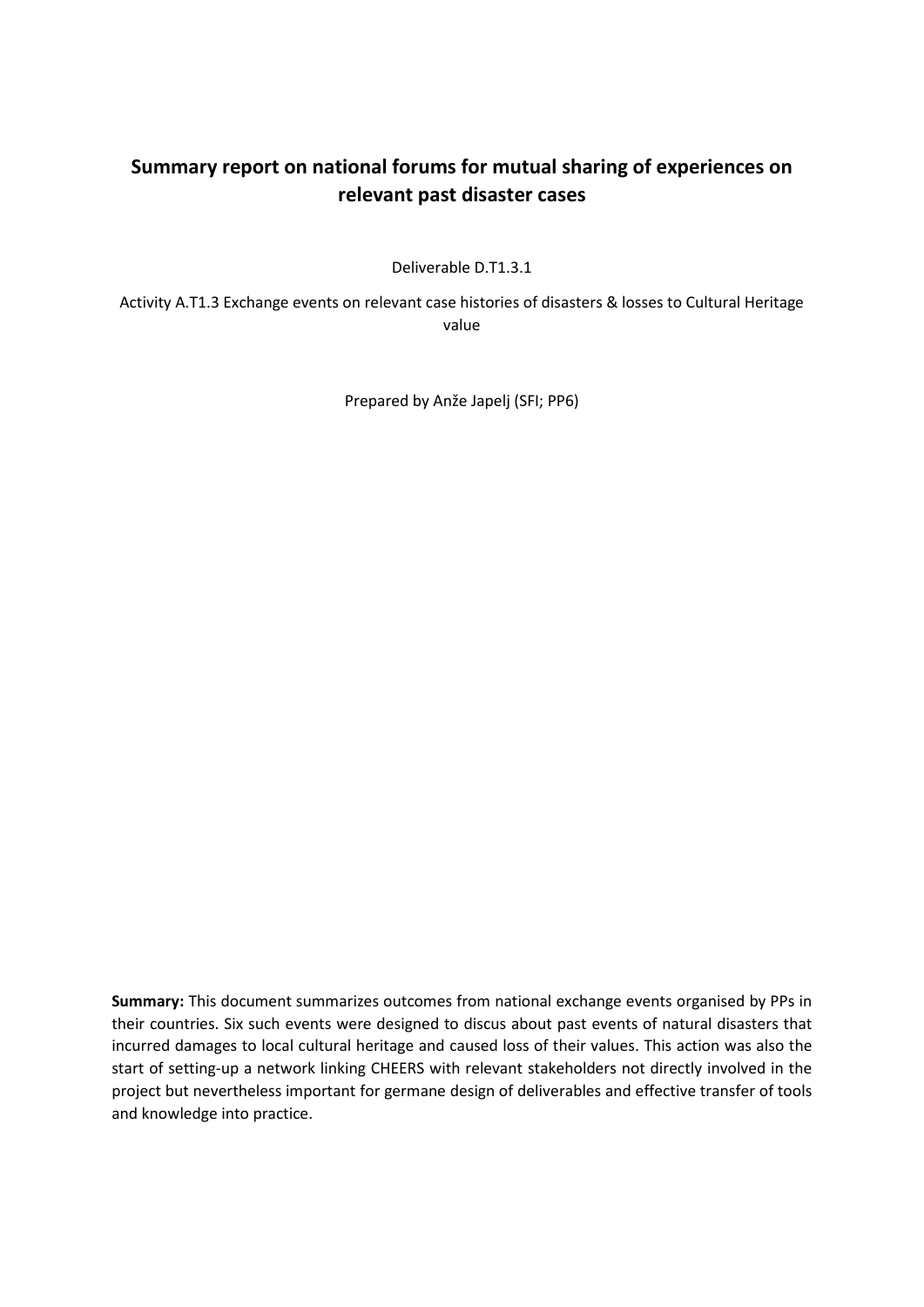## **Summary report on national forums for mutual sharing of experiences on relevant past disaster cases**

Deliverable D.T1.3.1

Activity A.T1.3 Exchange events on relevant case histories of disasters & losses to Cultural Heritage value

Prepared by Anže Japelj (SFI; PP6)

**Summary:** This document summarizes outcomes from national exchange events organised by PPs in their countries. Six such events were designed to discus about past events of natural disasters that incurred damages to local cultural heritage and caused loss of their values. This action was also the start of setting-up a network linking CHEERS with relevant stakeholders not directly involved in the project but nevertheless important for germane design of deliverables and effective transfer of tools and knowledge into practice.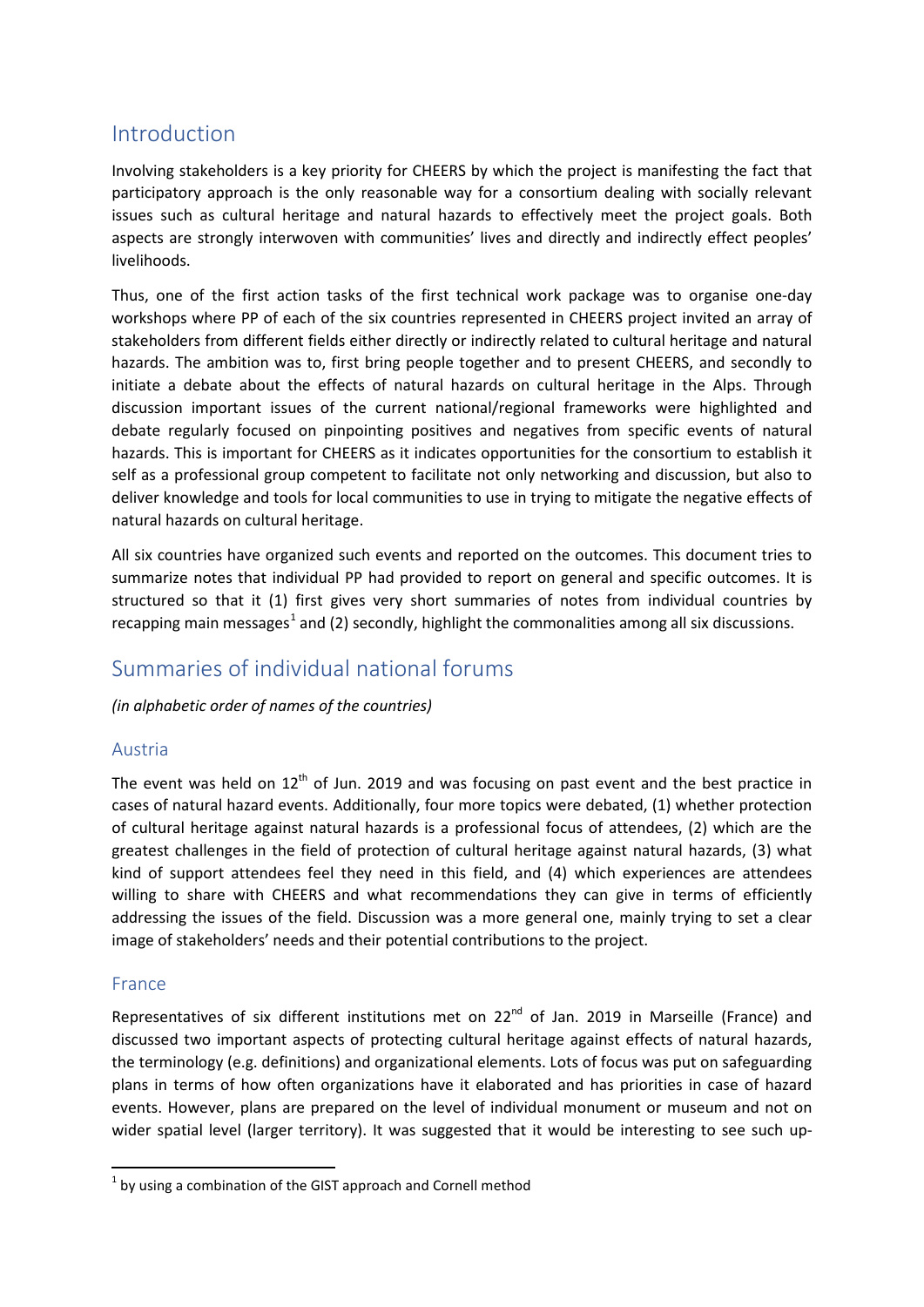## Introduction

Involving stakeholders is a key priority for CHEERS by which the project is manifesting the fact that participatory approach is the only reasonable way for a consortium dealing with socially relevant issues such as cultural heritage and natural hazards to effectively meet the project goals. Both aspects are strongly interwoven with communities' lives and directly and indirectly effect peoples' livelihoods.

Thus, one of the first action tasks of the first technical work package was to organise one-day workshops where PP of each of the six countries represented in CHEERS project invited an array of stakeholders from different fields either directly or indirectly related to cultural heritage and natural hazards. The ambition was to, first bring people together and to present CHEERS, and secondly to initiate a debate about the effects of natural hazards on cultural heritage in the Alps. Through discussion important issues of the current national/regional frameworks were highlighted and debate regularly focused on pinpointing positives and negatives from specific events of natural hazards. This is important for CHEERS as it indicates opportunities for the consortium to establish it self as a professional group competent to facilitate not only networking and discussion, but also to deliver knowledge and tools for local communities to use in trying to mitigate the negative effects of natural hazards on cultural heritage.

All six countries have organized such events and reported on the outcomes. This document tries to summarize notes that individual PP had provided to report on general and specific outcomes. It is structured so that it (1) first gives very short summaries of notes from individual countries by recapping main messages<sup>[1](#page-1-0)</sup> and (2) secondly, highlight the commonalities among all six discussions.

# Summaries of individual national forums

*(in alphabetic order of names of the countries)*

### Austria

The event was held on  $12<sup>th</sup>$  of Jun. 2019 and was focusing on past event and the best practice in cases of natural hazard events. Additionally, four more topics were debated, (1) whether protection of cultural heritage against natural hazards is a professional focus of attendees, (2) which are the greatest challenges in the field of protection of cultural heritage against natural hazards, (3) what kind of support attendees feel they need in this field, and (4) which experiences are attendees willing to share with CHEERS and what recommendations they can give in terms of efficiently addressing the issues of the field. Discussion was a more general one, mainly trying to set a clear image of stakeholders' needs and their potential contributions to the project.

### France

Representatives of six different institutions met on 22<sup>nd</sup> of Jan. 2019 in Marseille (France) and discussed two important aspects of protecting cultural heritage against effects of natural hazards, the terminology (e.g. definitions) and organizational elements. Lots of focus was put on safeguarding plans in terms of how often organizations have it elaborated and has priorities in case of hazard events. However, plans are prepared on the level of individual monument or museum and not on wider spatial level (larger territory). It was suggested that it would be interesting to see such up-

<span id="page-1-0"></span> $1$  by using a combination of the GIST approach and Cornell method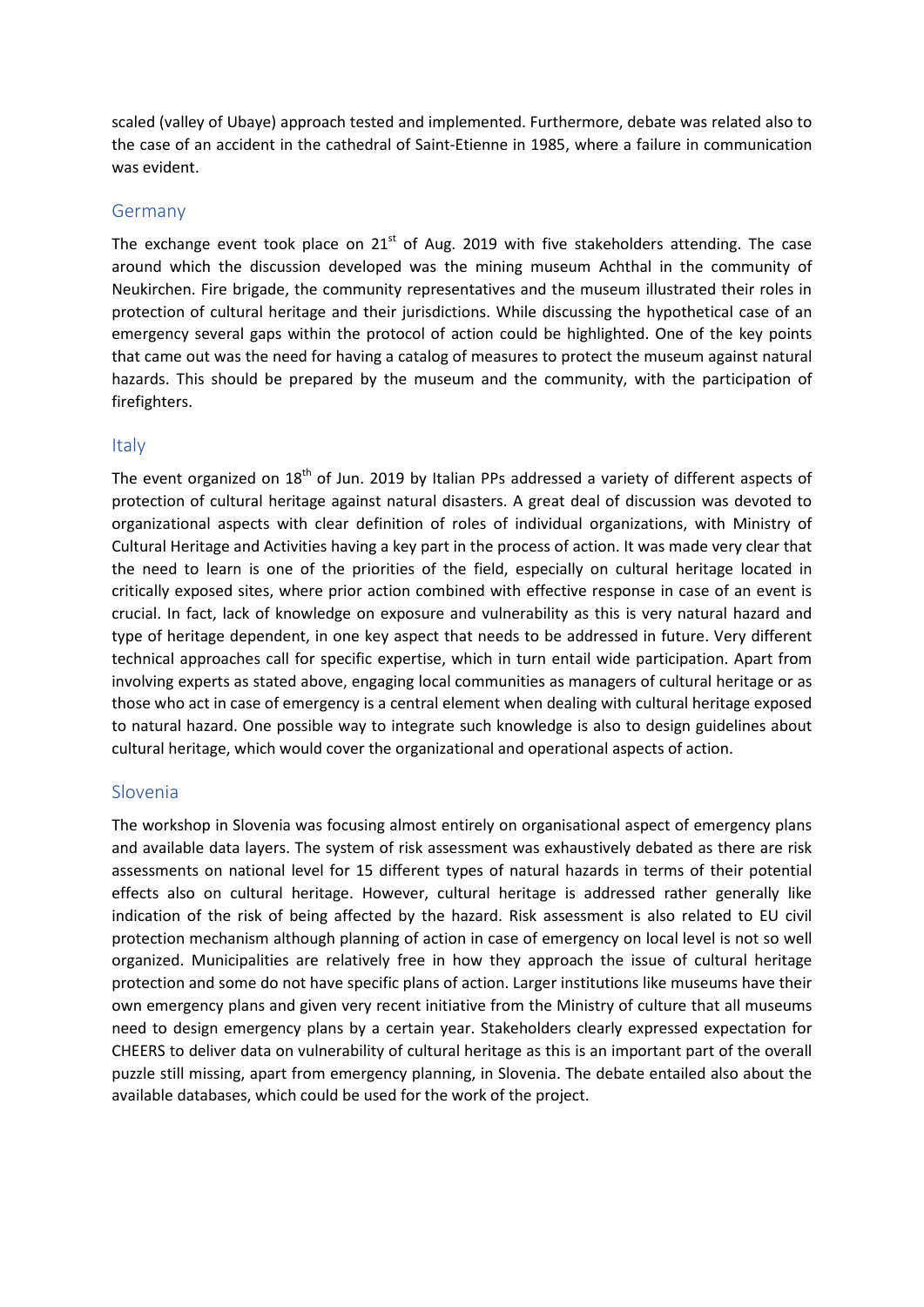scaled (valley of Ubaye) approach tested and implemented. Furthermore, debate was related also to the case of an accident in the cathedral of Saint-Etienne in 1985, where a failure in communication was evident.

### Germany

The exchange event took place on  $21<sup>st</sup>$  of Aug. 2019 with five stakeholders attending. The case around which the discussion developed was the mining museum Achthal in the community of Neukirchen. Fire brigade, the community representatives and the museum illustrated their roles in protection of cultural heritage and their jurisdictions. While discussing the hypothetical case of an emergency several gaps within the protocol of action could be highlighted. One of the key points that came out was the need for having a catalog of measures to protect the museum against natural hazards. This should be prepared by the museum and the community, with the participation of firefighters.

### Italy

The event organized on 18<sup>th</sup> of Jun. 2019 by Italian PPs addressed a variety of different aspects of protection of cultural heritage against natural disasters. A great deal of discussion was devoted to organizational aspects with clear definition of roles of individual organizations, with Ministry of Cultural Heritage and Activities having a key part in the process of action. It was made very clear that the need to learn is one of the priorities of the field, especially on cultural heritage located in critically exposed sites, where prior action combined with effective response in case of an event is crucial. In fact, lack of knowledge on exposure and vulnerability as this is very natural hazard and type of heritage dependent, in one key aspect that needs to be addressed in future. Very different technical approaches call for specific expertise, which in turn entail wide participation. Apart from involving experts as stated above, engaging local communities as managers of cultural heritage or as those who act in case of emergency is a central element when dealing with cultural heritage exposed to natural hazard. One possible way to integrate such knowledge is also to design guidelines about cultural heritage, which would cover the organizational and operational aspects of action.

#### Slovenia

The workshop in Slovenia was focusing almost entirely on organisational aspect of emergency plans and available data layers. The system of risk assessment was exhaustively debated as there are risk assessments on national level for 15 different types of natural hazards in terms of their potential effects also on cultural heritage. However, cultural heritage is addressed rather generally like indication of the risk of being affected by the hazard. Risk assessment is also related to EU civil protection mechanism although planning of action in case of emergency on local level is not so well organized. Municipalities are relatively free in how they approach the issue of cultural heritage protection and some do not have specific plans of action. Larger institutions like museums have their own emergency plans and given very recent initiative from the Ministry of culture that all museums need to design emergency plans by a certain year. Stakeholders clearly expressed expectation for CHEERS to deliver data on vulnerability of cultural heritage as this is an important part of the overall puzzle still missing, apart from emergency planning, in Slovenia. The debate entailed also about the available databases, which could be used for the work of the project.